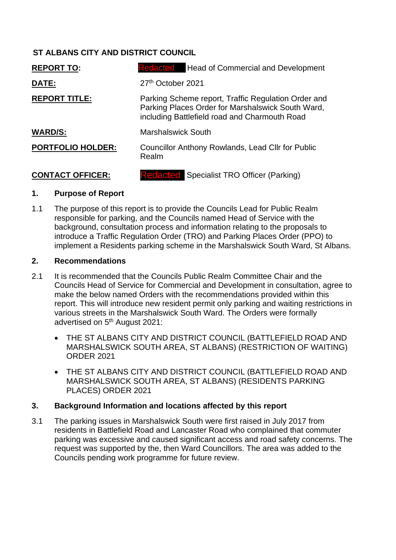# **ST ALBANS CITY AND DISTRICT COUNCIL**

| <b>REPORT TO:</b>        | <b>Redacted</b><br><b>Head of Commercial and Development</b>                                                                                              |  |
|--------------------------|-----------------------------------------------------------------------------------------------------------------------------------------------------------|--|
| DATE:                    | 27 <sup>th</sup> October 2021                                                                                                                             |  |
| <b>REPORT TITLE:</b>     | Parking Scheme report, Traffic Regulation Order and<br>Parking Places Order for Marshalswick South Ward,<br>including Battlefield road and Charmouth Road |  |
| <b>WARD/S:</b>           | <b>Marshalswick South</b>                                                                                                                                 |  |
| <b>PORTFOLIO HOLDER:</b> | <b>Councillor Anthony Rowlands, Lead Cllr for Public</b><br>Realm                                                                                         |  |
| <b>CONTACT OFFICER:</b>  | <b>Redacted</b> Specialist TRO Officer (Parking)                                                                                                          |  |

## **1. Purpose of Report**

1.1 The purpose of this report is to provide the Councils Lead for Public Realm responsible for parking, and the Councils named Head of Service with the background, consultation process and information relating to the proposals to introduce a Traffic Regulation Order (TRO) and Parking Places Order (PPO) to implement a Residents parking scheme in the Marshalswick South Ward, St Albans.

# **2. Recommendations**

- 2.1 It is recommended that the Councils Public Realm Committee Chair and the Councils Head of Service for Commercial and Development in consultation, agree to make the below named Orders with the recommendations provided within this report. This will introduce new resident permit only parking and waiting restrictions in various streets in the Marshalswick South Ward. The Orders were formally advertised on 5<sup>th</sup> August 2021:
	- THE ST ALBANS CITY AND DISTRICT COUNCIL (BATTLEFIELD ROAD AND MARSHALSWICK SOUTH AREA, ST ALBANS) (RESTRICTION OF WAITING) ORDER 2021
	- THE ST ALBANS CITY AND DISTRICT COUNCIL (BATTLEFIELD ROAD AND MARSHALSWICK SOUTH AREA, ST ALBANS) (RESIDENTS PARKING PLACES) ORDER 2021

# **3. Background Information and locations affected by this report**

3.1 The parking issues in Marshalswick South were first raised in July 2017 from residents in Battlefield Road and Lancaster Road who complained that commuter parking was excessive and caused significant access and road safety concerns. The request was supported by the, then Ward Councillors. The area was added to the Councils pending work programme for future review.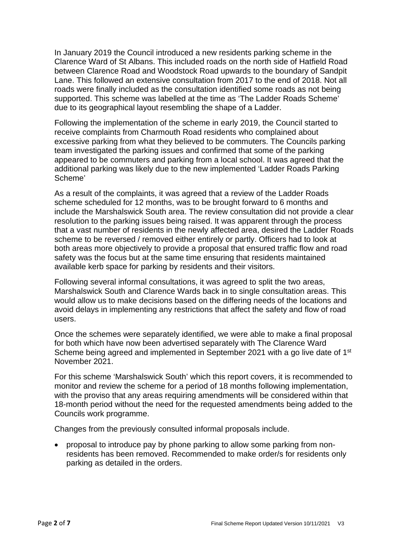In January 2019 the Council introduced a new residents parking scheme in the Clarence Ward of St Albans. This included roads on the north side of Hatfield Road between Clarence Road and Woodstock Road upwards to the boundary of Sandpit Lane. This followed an extensive consultation from 2017 to the end of 2018. Not all roads were finally included as the consultation identified some roads as not being supported. This scheme was labelled at the time as 'The Ladder Roads Scheme' due to its geographical layout resembling the shape of a Ladder.

Following the implementation of the scheme in early 2019, the Council started to receive complaints from Charmouth Road residents who complained about excessive parking from what they believed to be commuters. The Councils parking team investigated the parking issues and confirmed that some of the parking appeared to be commuters and parking from a local school. It was agreed that the additional parking was likely due to the new implemented 'Ladder Roads Parking Scheme'

As a result of the complaints, it was agreed that a review of the Ladder Roads scheme scheduled for 12 months, was to be brought forward to 6 months and include the Marshalswick South area. The review consultation did not provide a clear resolution to the parking issues being raised. It was apparent through the process that a vast number of residents in the newly affected area, desired the Ladder Roads scheme to be reversed / removed either entirely or partly. Officers had to look at both areas more objectively to provide a proposal that ensured traffic flow and road safety was the focus but at the same time ensuring that residents maintained available kerb space for parking by residents and their visitors.

Following several informal consultations, it was agreed to split the two areas, Marshalswick South and Clarence Wards back in to single consultation areas. This would allow us to make decisions based on the differing needs of the locations and avoid delays in implementing any restrictions that affect the safety and flow of road users.

Once the schemes were separately identified, we were able to make a final proposal for both which have now been advertised separately with The Clarence Ward Scheme being agreed and implemented in September 2021 with a go live date of 1<sup>st</sup> November 2021.

For this scheme 'Marshalswick South' which this report covers, it is recommended to monitor and review the scheme for a period of 18 months following implementation, with the proviso that any areas requiring amendments will be considered within that 18-month period without the need for the requested amendments being added to the Councils work programme.

Changes from the previously consulted informal proposals include.

 proposal to introduce pay by phone parking to allow some parking from nonresidents has been removed. Recommended to make order/s for residents only parking as detailed in the orders.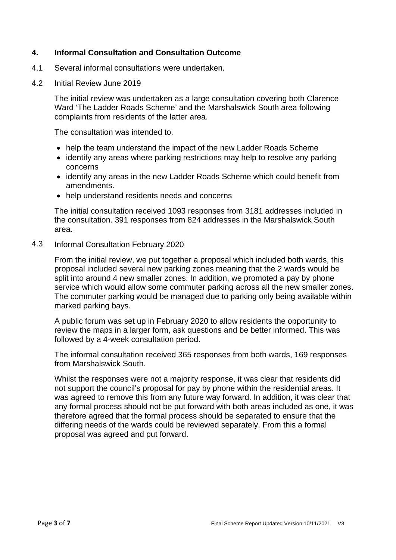#### **4. Informal Consultation and Consultation Outcome**

- 4.1 Several informal consultations were undertaken.
- 4.2 Initial Review June 2019

The initial review was undertaken as a large consultation covering both Clarence Ward 'The Ladder Roads Scheme' and the Marshalswick South area following complaints from residents of the latter area.

The consultation was intended to.

- help the team understand the impact of the new Ladder Roads Scheme
- identify any areas where parking restrictions may help to resolve any parking concerns
- identify any areas in the new Ladder Roads Scheme which could benefit from amendments.
- help understand residents needs and concerns

The initial consultation received 1093 responses from 3181 addresses included in the consultation. 391 responses from 824 addresses in the Marshalswick South area.

4.3 Informal Consultation February 2020

> From the initial review, we put together a proposal which included both wards, this proposal included several new parking zones meaning that the 2 wards would be split into around 4 new smaller zones. In addition, we promoted a pay by phone service which would allow some commuter parking across all the new smaller zones. The commuter parking would be managed due to parking only being available within marked parking bays.

A public forum was set up in February 2020 to allow residents the opportunity to review the maps in a larger form, ask questions and be better informed. This was followed by a 4-week consultation period.

The informal consultation received 365 responses from both wards, 169 responses from Marshalswick South.

Whilst the responses were not a majority response, it was clear that residents did not support the council's proposal for pay by phone within the residential areas. It was agreed to remove this from any future way forward. In addition, it was clear that any formal process should not be put forward with both areas included as one, it was therefore agreed that the formal process should be separated to ensure that the differing needs of the wards could be reviewed separately. From this a formal proposal was agreed and put forward.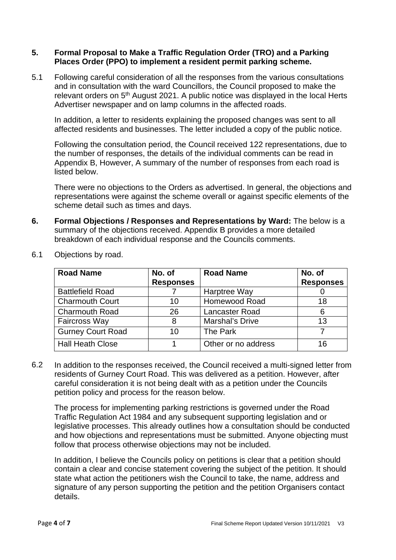#### **5. Formal Proposal to Make a Traffic Regulation Order (TRO) and a Parking Places Order (PPO) to implement a resident permit parking scheme.**

5.1 Following careful consideration of all the responses from the various consultations and in consultation with the ward Councillors, the Council proposed to make the relevant orders on 5th August 2021. A public notice was displayed in the local Herts Advertiser newspaper and on lamp columns in the affected roads.

In addition, a letter to residents explaining the proposed changes was sent to all affected residents and businesses. The letter included a copy of the public notice.

Following the consultation period, the Council received 122 representations, due to the number of responses, the details of the individual comments can be read in Appendix B, However, A summary of the number of responses from each road is listed below.

There were no objections to the Orders as advertised. In general, the objections and representations were against the scheme overall or against specific elements of the scheme detail such as times and days.

**6. Formal Objections / Responses and Representations by Ward:** The below is a summary of the objections received. Appendix B provides a more detailed breakdown of each individual response and the Councils comments.

| <b>Road Name</b>         | No. of           | <b>Road Name</b>      | No. of           |
|--------------------------|------------------|-----------------------|------------------|
|                          | <b>Responses</b> |                       | <b>Responses</b> |
| <b>Battlefield Road</b>  |                  | Harptree Way          |                  |
| <b>Charmouth Court</b>   | 10               | <b>Homewood Road</b>  | 18               |
| <b>Charmouth Road</b>    | 26               | <b>Lancaster Road</b> | 6                |
| <b>Faircross Way</b>     | 8                | Marshal's Drive       | 13               |
| <b>Gurney Court Road</b> | 10               | The Park              |                  |
| <b>Hall Heath Close</b>  |                  | Other or no address   | 16               |

6.1 Objections by road.

6.2 In addition to the responses received, the Council received a multi-signed letter from residents of Gurney Court Road. This was delivered as a petition. However, after careful consideration it is not being dealt with as a petition under the Councils petition policy and process for the reason below.

The process for implementing parking restrictions is governed under the Road Traffic Regulation Act 1984 and any subsequent supporting legislation and or legislative processes. This already outlines how a consultation should be conducted and how objections and representations must be submitted. Anyone objecting must follow that process otherwise objections may not be included.

In addition, I believe the Councils policy on petitions is clear that a petition should contain a clear and concise statement covering the subject of the petition. It should state what action the petitioners wish the Council to take, the name, address and signature of any person supporting the petition and the petition Organisers contact details.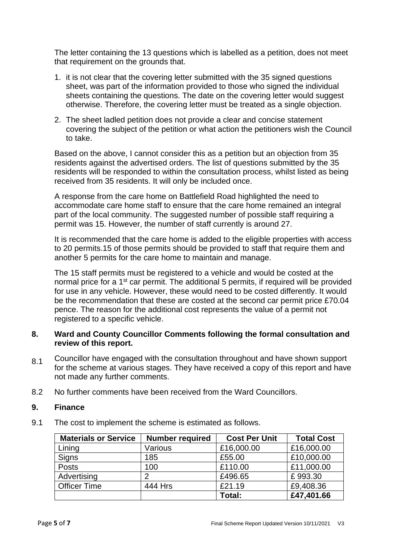The letter containing the 13 questions which is labelled as a petition, does not meet that requirement on the grounds that.

- 1. it is not clear that the covering letter submitted with the 35 signed questions sheet, was part of the information provided to those who signed the individual sheets containing the questions. The date on the covering letter would suggest otherwise. Therefore, the covering letter must be treated as a single objection.
- 2. The sheet ladled petition does not provide a clear and concise statement covering the subject of the petition or what action the petitioners wish the Council to take.

Based on the above, I cannot consider this as a petition but an objection from 35 residents against the advertised orders. The list of questions submitted by the 35 residents will be responded to within the consultation process, whilst listed as being received from 35 residents. It will only be included once.

A response from the care home on Battlefield Road highlighted the need to accommodate care home staff to ensure that the care home remained an integral part of the local community. The suggested number of possible staff requiring a permit was 15. However, the number of staff currently is around 27.

It is recommended that the care home is added to the eligible properties with access to 20 permits.15 of those permits should be provided to staff that require them and another 5 permits for the care home to maintain and manage.

The 15 staff permits must be registered to a vehicle and would be costed at the normal price for a 1<sup>st</sup> car permit. The additional 5 permits, if required will be provided for use in any vehicle. However, these would need to be costed differently. It would be the recommendation that these are costed at the second car permit price £70.04 pence. The reason for the additional cost represents the value of a permit not registered to a specific vehicle.

#### **8. Ward and County Councillor Comments following the formal consultation and review of this report.**

- 8.1 Councillor have engaged with the consultation throughout and have shown support for the scheme at various stages. They have received a copy of this report and have not made any further comments.
- 8.2 No further comments have been received from the Ward Councillors.

## **9. Finance**

9.1 The cost to implement the scheme is estimated as follows.

| <b>Materials or Service</b> | <b>Number required</b> | <b>Cost Per Unit</b> | <b>Total Cost</b> |
|-----------------------------|------------------------|----------------------|-------------------|
| Lining                      | Various                | £16,000.00           | £16,000.00        |
| Signs                       | 185                    | £55.00               | £10,000.00        |
| Posts                       | 100                    | £110.00              | £11,000.00        |
| Advertising                 | າ                      | £496.65              | £993.30           |
| <b>Officer Time</b>         | 444 Hrs                | £21.19               | £9,408.36         |
|                             |                        | Total:               | £47,401.66        |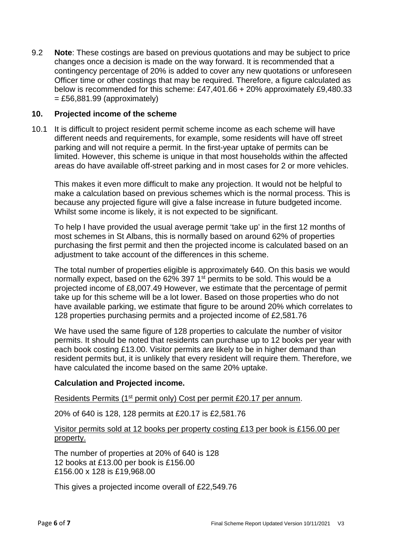9.2 **Note**: These costings are based on previous quotations and may be subject to price changes once a decision is made on the way forward. It is recommended that a contingency percentage of 20% is added to cover any new quotations or unforeseen Officer time or other costings that may be required. Therefore, a figure calculated as below is recommended for this scheme: £47,401.66 + 20% approximately £9,480.33  $=$  £56,881.99 (approximately)

#### **10. Projected income of the scheme**

10.1 It is difficult to project resident permit scheme income as each scheme will have different needs and requirements, for example, some residents will have off street parking and will not require a permit. In the first-year uptake of permits can be limited. However, this scheme is unique in that most households within the affected areas do have available off-street parking and in most cases for 2 or more vehicles.

This makes it even more difficult to make any projection. It would not be helpful to make a calculation based on previous schemes which is the normal process. This is because any projected figure will give a false increase in future budgeted income. Whilst some income is likely, it is not expected to be significant.

To help I have provided the usual average permit 'take up' in the first 12 months of most schemes in St Albans, this is normally based on around 62% of properties purchasing the first permit and then the projected income is calculated based on an adjustment to take account of the differences in this scheme.

The total number of properties eligible is approximately 640. On this basis we would normally expect, based on the 62% 397 1<sup>st</sup> permits to be sold. This would be a projected income of £8,007.49 However, we estimate that the percentage of permit take up for this scheme will be a lot lower. Based on those properties who do not have available parking, we estimate that figure to be around 20% which correlates to 128 properties purchasing permits and a projected income of £2,581.76

We have used the same figure of 128 properties to calculate the number of visitor permits. It should be noted that residents can purchase up to 12 books per year with each book costing £13.00. Visitor permits are likely to be in higher demand than resident permits but, it is unlikely that every resident will require them. Therefore, we have calculated the income based on the same 20% uptake.

## **Calculation and Projected income.**

Residents Permits (1<sup>st</sup> permit only) Cost per permit £20.17 per annum.

20% of 640 is 128, 128 permits at £20.17 is £2,581.76

#### Visitor permits sold at 12 books per property costing £13 per book is £156.00 per property.

The number of properties at 20% of 640 is 128 12 books at £13.00 per book is £156.00 £156.00 x 128 is £19,968.00

This gives a projected income overall of £22,549.76